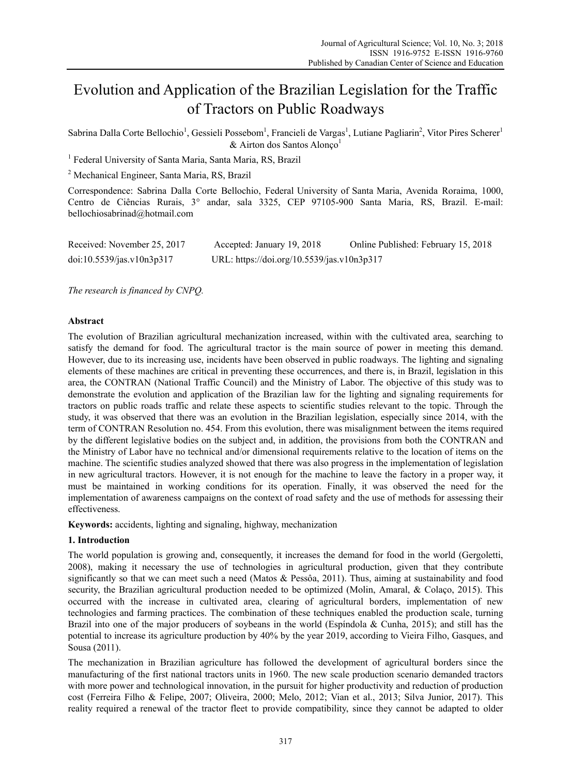# Evolution and Application of the Brazilian Legislation for the Traffic of Tractors on Public Roadways

Sabrina Dalla Corte Bellochio<sup>1</sup>, Gessieli Possebom<sup>1</sup>, Francieli de Vargas<sup>1</sup>, Lutiane Pagliarin<sup>2</sup>, Vitor Pires Scherer<sup>1</sup>  $&$  Airton dos Santos Alonço<sup>1</sup>

<sup>1</sup> Federal University of Santa Maria, Santa Maria, RS, Brazil

2 Mechanical Engineer, Santa Maria, RS, Brazil

Correspondence: Sabrina Dalla Corte Bellochio, Federal University of Santa Maria, Avenida Roraima, 1000, Centro de Ciências Rurais, 3° andar, sala 3325, CEP 97105-900 Santa Maria, RS, Brazil. E-mail: bellochiosabrinad@hotmail.com

| Received: November 25, 2017 | Accepted: January 19, 2018                 | Online Published: February 15, 2018 |
|-----------------------------|--------------------------------------------|-------------------------------------|
| doi:10.5539/jas.v10n3p317   | URL: https://doi.org/10.5539/jas.v10n3p317 |                                     |

*The research is financed by CNPQ.*

# **Abstract**

The evolution of Brazilian agricultural mechanization increased, within with the cultivated area, searching to satisfy the demand for food. The agricultural tractor is the main source of power in meeting this demand. However, due to its increasing use, incidents have been observed in public roadways. The lighting and signaling elements of these machines are critical in preventing these occurrences, and there is, in Brazil, legislation in this area, the CONTRAN (National Traffic Council) and the Ministry of Labor. The objective of this study was to demonstrate the evolution and application of the Brazilian law for the lighting and signaling requirements for tractors on public roads traffic and relate these aspects to scientific studies relevant to the topic. Through the study, it was observed that there was an evolution in the Brazilian legislation, especially since 2014, with the term of CONTRAN Resolution no. 454. From this evolution, there was misalignment between the items required by the different legislative bodies on the subject and, in addition, the provisions from both the CONTRAN and the Ministry of Labor have no technical and/or dimensional requirements relative to the location of items on the machine. The scientific studies analyzed showed that there was also progress in the implementation of legislation in new agricultural tractors. However, it is not enough for the machine to leave the factory in a proper way, it must be maintained in working conditions for its operation. Finally, it was observed the need for the implementation of awareness campaigns on the context of road safety and the use of methods for assessing their effectiveness.

**Keywords:** accidents, lighting and signaling, highway, mechanization

## **1. Introduction**

The world population is growing and, consequently, it increases the demand for food in the world (Gergoletti, 2008), making it necessary the use of technologies in agricultural production, given that they contribute significantly so that we can meet such a need (Matos & Pessôa, 2011). Thus, aiming at sustainability and food security, the Brazilian agricultural production needed to be optimized (Molin, Amaral, & Colaço, 2015). This occurred with the increase in cultivated area, clearing of agricultural borders, implementation of new technologies and farming practices. The combination of these techniques enabled the production scale, turning Brazil into one of the major producers of soybeans in the world (Espíndola & Cunha, 2015); and still has the potential to increase its agriculture production by 40% by the year 2019, according to Vieira Filho, Gasques, and Sousa (2011).

The mechanization in Brazilian agriculture has followed the development of agricultural borders since the manufacturing of the first national tractors units in 1960. The new scale production scenario demanded tractors with more power and technological innovation, in the pursuit for higher productivity and reduction of production cost (Ferreira Filho & Felipe, 2007; Oliveira, 2000; Melo, 2012; Vian et al., 2013; Silva Junior, 2017). This reality required a renewal of the tractor fleet to provide compatibility, since they cannot be adapted to older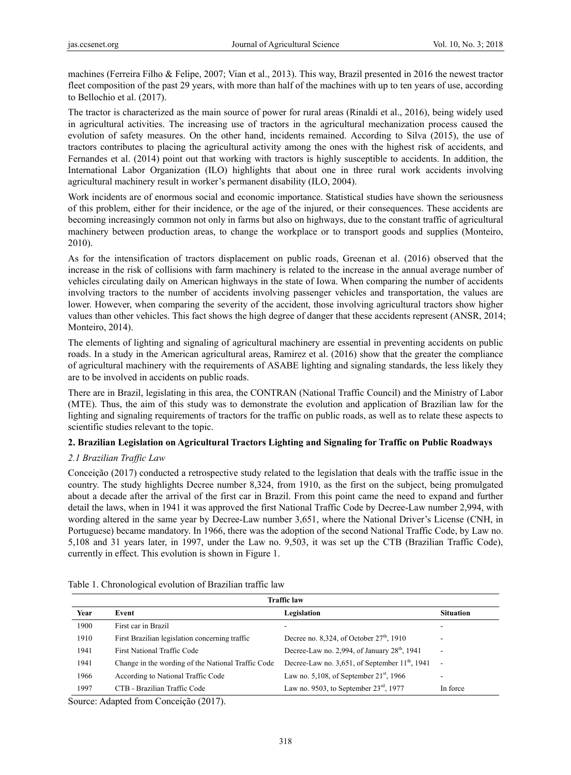machines (Ferreira Filho & Felipe, 2007; Vian et al., 2013). This way, Brazil presented in 2016 the newest tractor fleet composition of the past 29 years, with more than half of the machines with up to ten years of use, according to Bellochio et al. (2017).

The tractor is characterized as the main source of power for rural areas (Rinaldi et al., 2016), being widely used in agricultural activities. The increasing use of tractors in the agricultural mechanization process caused the evolution of safety measures. On the other hand, incidents remained. According to Silva (2015), the use of tractors contributes to placing the agricultural activity among the ones with the highest risk of accidents, and Fernandes et al. (2014) point out that working with tractors is highly susceptible to accidents. In addition, the International Labor Organization (ILO) highlights that about one in three rural work accidents involving agricultural machinery result in worker's permanent disability (ILO, 2004).

Work incidents are of enormous social and economic importance. Statistical studies have shown the seriousness of this problem, either for their incidence, or the age of the injured, or their consequences. These accidents are becoming increasingly common not only in farms but also on highways, due to the constant traffic of agricultural machinery between production areas, to change the workplace or to transport goods and supplies (Monteiro, 2010).

As for the intensification of tractors displacement on public roads, Greenan et al. (2016) observed that the increase in the risk of collisions with farm machinery is related to the increase in the annual average number of vehicles circulating daily on American highways in the state of Iowa. When comparing the number of accidents involving tractors to the number of accidents involving passenger vehicles and transportation, the values are lower. However, when comparing the severity of the accident, those involving agricultural tractors show higher values than other vehicles. This fact shows the high degree of danger that these accidents represent (ANSR, 2014; Monteiro, 2014).

The elements of lighting and signaling of agricultural machinery are essential in preventing accidents on public roads. In a study in the American agricultural areas, Ramirez et al. (2016) show that the greater the compliance of agricultural machinery with the requirements of ASABE lighting and signaling standards, the less likely they are to be involved in accidents on public roads.

There are in Brazil, legislating in this area, the CONTRAN (National Traffic Council) and the Ministry of Labor (MTE). Thus, the aim of this study was to demonstrate the evolution and application of Brazilian law for the lighting and signaling requirements of tractors for the traffic on public roads, as well as to relate these aspects to scientific studies relevant to the topic.

# **2. Brazilian Legislation on Agricultural Tractors Lighting and Signaling for Traffic on Public Roadways**

# *2.1 Brazilian Traffic Law*

Conceição (2017) conducted a retrospective study related to the legislation that deals with the traffic issue in the country. The study highlights Decree number 8,324, from 1910, as the first on the subject, being promulgated about a decade after the arrival of the first car in Brazil. From this point came the need to expand and further detail the laws, when in 1941 it was approved the first National Traffic Code by Decree-Law number 2,994, with wording altered in the same year by Decree-Law number 3,651, where the National Driver's License (CNH, in Portuguese) became mandatory. In 1966, there was the adoption of the second National Traffic Code, by Law no. 5,108 and 31 years later, in 1997, under the Law no. 9,503, it was set up the CTB (Brazilian Traffic Code), currently in effect. This evolution is shown in Figure 1.

| <b>Traffic law</b> |                                                    |                                                    |                          |  |
|--------------------|----------------------------------------------------|----------------------------------------------------|--------------------------|--|
| Year               | Event                                              | Legislation                                        | <b>Situation</b>         |  |
| 1900               | First car in Brazil                                | ۰                                                  | -                        |  |
| 1910               | First Brazilian legislation concerning traffic     | Decree no. 8,324, of October $27th$ , 1910         | ۰                        |  |
| 1941               | First National Traffic Code                        | Decree-Law no. 2,994, of January $28th$ , 1941     | $\overline{\phantom{a}}$ |  |
| 1941               | Change in the wording of the National Traffic Code | Decree-Law no. 3,651, of September $11th$ , 1941   | $\sim$                   |  |
| 1966               | According to National Traffic Code                 | Law no. 5,108, of September $21st$ , 1966          | ۰                        |  |
| 1997               | CTB - Brazilian Traffic Code                       | Law no. 9503, to September $23^{\text{rd}}$ , 1977 | In force                 |  |

Table 1. Chronological evolution of Brazilian traffic law

Source: Adapted from Conceição (2017).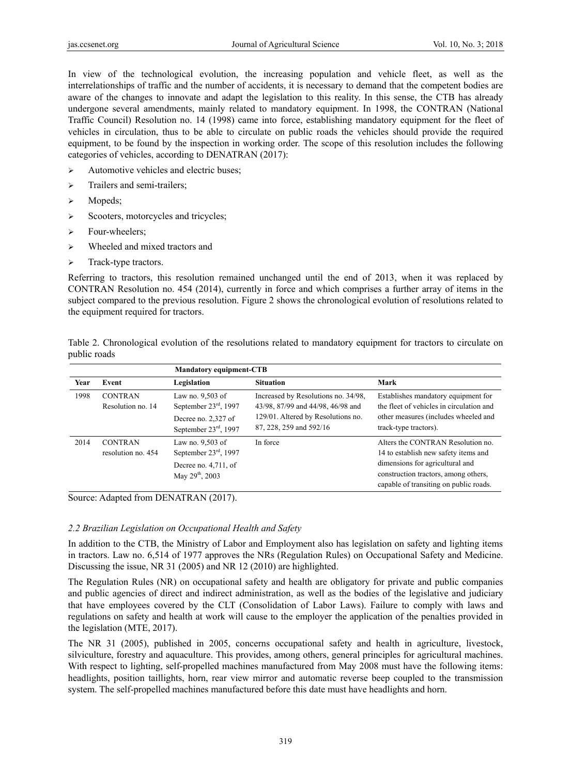In view of the technological evolution, the increasing population and vehicle fleet, as well as the interrelationships of traffic and the number of accidents, it is necessary to demand that the competent bodies are aware of the changes to innovate and adapt the legislation to this reality. In this sense, the CTB has already undergone several amendments, mainly related to mandatory equipment. In 1998, the CONTRAN (National Traffic Council) Resolution no. 14 (1998) came into force, establishing mandatory equipment for the fleet of vehicles in circulation, thus to be able to circulate on public roads the vehicles should provide the required equipment, to be found by the inspection in working order. The scope of this resolution includes the following categories of vehicles, according to DENATRAN (2017):

- $\triangleright$  Automotive vehicles and electric buses;
- > Trailers and semi-trailers;
- $\triangleright$  Mopeds;
- $\triangleright$  Scooters, motorcycles and tricycles;
- > Four-wheelers;
- Wheeled and mixed tractors and
- > Track-type tractors.

Referring to tractors, this resolution remained unchanged until the end of 2013, when it was replaced by CONTRAN Resolution no. 454 (2014), currently in force and which comprises a further array of items in the subject compared to the previous resolution. Figure 2 shows the chronological evolution of resolutions related to the equipment required for tractors.

Table 2. Chronological evolution of the resolutions related to mandatory equipment for tractors to circulate on public roads

|      |                                      | <b>Mandatory equipment-CTB</b>                                                                             |                                                                          |                                                                                                                                                                                                |
|------|--------------------------------------|------------------------------------------------------------------------------------------------------------|--------------------------------------------------------------------------|------------------------------------------------------------------------------------------------------------------------------------------------------------------------------------------------|
| Year | Event                                | Legislation                                                                                                | <b>Situation</b>                                                         | Mark                                                                                                                                                                                           |
| 1998 | <b>CONTRAN</b><br>Resolution no. 14  | Law no. 9,503 of<br>September $23^{\text{rd}}$ , 1997                                                      | Increased by Resolutions no. 34/98,<br>43/98, 87/99 and 44/98, 46/98 and | Establishes mandatory equipment for<br>the fleet of vehicles in circulation and                                                                                                                |
|      |                                      | Decree no. 2,327 of<br>September $23^{\text{rd}}$ , 1997                                                   | 129/01. Altered by Resolutions no.<br>87, 228, 259 and 592/16            | other measures (includes wheeled and<br>track-type tractors).                                                                                                                                  |
| 2014 | <b>CONTRAN</b><br>resolution no. 454 | Law no. 9,503 of<br>September $23^{\text{rd}}$ , 1997<br>Decree no. $4,711$ , of<br>May $29^{th}$ , $2003$ | In force                                                                 | Alters the CONTRAN Resolution no.<br>14 to establish new safety items and<br>dimensions for agricultural and<br>construction tractors, among others,<br>capable of transiting on public roads. |

Source: Adapted from DENATRAN (2017).

## *2.2 Brazilian Legislation on Occupational Health and Safety*

In addition to the CTB, the Ministry of Labor and Employment also has legislation on safety and lighting items in tractors. Law no. 6,514 of 1977 approves the NRs (Regulation Rules) on Occupational Safety and Medicine. Discussing the issue, NR 31 (2005) and NR 12 (2010) are highlighted.

The Regulation Rules (NR) on occupational safety and health are obligatory for private and public companies and public agencies of direct and indirect administration, as well as the bodies of the legislative and judiciary that have employees covered by the CLT (Consolidation of Labor Laws). Failure to comply with laws and regulations on safety and health at work will cause to the employer the application of the penalties provided in the legislation (MTE, 2017).

The NR 31 (2005), published in 2005, concerns occupational safety and health in agriculture, livestock, silviculture, forestry and aquaculture. This provides, among others, general principles for agricultural machines. With respect to lighting, self-propelled machines manufactured from May 2008 must have the following items: headlights, position taillights, horn, rear view mirror and automatic reverse beep coupled to the transmission system. The self-propelled machines manufactured before this date must have headlights and horn.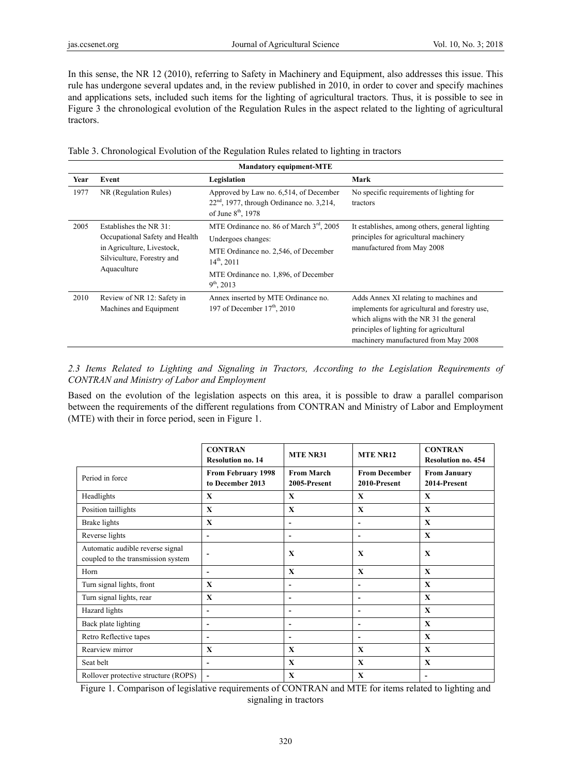In this sense, the NR 12 (2010), referring to Safety in Machinery and Equipment, also addresses this issue. This rule has undergone several updates and, in the review published in 2010, in order to cover and specify machines and applications sets, included such items for the lighting of agricultural tractors. Thus, it is possible to see in Figure 3 the chronological evolution of the Regulation Rules in the aspect related to the lighting of agricultural tractors.

Table 3. Chronological Evolution of the Regulation Rules related to lighting in tractors

| <b>Mandatory equipment-MTE</b> |                                                                                                                                     |                                                                                                                                                                                                          |                                                                                                                                                                                                                       |  |
|--------------------------------|-------------------------------------------------------------------------------------------------------------------------------------|----------------------------------------------------------------------------------------------------------------------------------------------------------------------------------------------------------|-----------------------------------------------------------------------------------------------------------------------------------------------------------------------------------------------------------------------|--|
| Year                           | Event                                                                                                                               | Legislation                                                                                                                                                                                              | Mark                                                                                                                                                                                                                  |  |
| 1977                           | NR (Regulation Rules)                                                                                                               | Approved by Law no. 6,514, of December<br>$22nd$ , 1977, through Ordinance no. 3,214,<br>of June $8th$ , 1978                                                                                            | No specific requirements of lighting for<br>tractors                                                                                                                                                                  |  |
| 2005                           | Establishes the NR 31:<br>Occupational Safety and Health<br>in Agriculture, Livestock,<br>Silviculture, Forestry and<br>Aquaculture | MTE Ordinance no. 86 of March 3 <sup>rd</sup> , 2005<br>Undergoes changes:<br>MTE Ordinance no. 2,546, of December<br>$14^{th}$ , 2011<br>MTE Ordinance no. 1,896, of December<br>$9^{\text{th}}$ , 2013 | It establishes, among others, general lighting<br>principles for agricultural machinery<br>manufactured from May 2008                                                                                                 |  |
| 2010                           | Review of NR 12: Safety in<br>Machines and Equipment                                                                                | Annex inserted by MTE Ordinance no.<br>197 of December $17th$ , 2010                                                                                                                                     | Adds Annex XI relating to machines and<br>implements for agricultural and forestry use,<br>which aligns with the NR 31 the general<br>principles of lighting for agricultural<br>machinery manufactured from May 2008 |  |

*2.3 Items Related to Lighting and Signaling in Tractors, According to the Legislation Requirements of CONTRAN and Ministry of Labor and Employment* 

Based on the evolution of the legislation aspects on this area, it is possible to draw a parallel comparison between the requirements of the different regulations from CONTRAN and Ministry of Labor and Employment (MTE) with their in force period, seen in Figure 1.

|                                                                        | <b>CONTRAN</b><br><b>Resolution no. 14</b>    | <b>MTE NR31</b>                   | <b>MTE NR12</b>                      | <b>CONTRAN</b><br><b>Resolution no. 454</b> |
|------------------------------------------------------------------------|-----------------------------------------------|-----------------------------------|--------------------------------------|---------------------------------------------|
| Period in force                                                        | <b>From February 1998</b><br>to December 2013 | <b>From March</b><br>2005-Present | <b>From December</b><br>2010-Present | <b>From January</b><br>2014-Present         |
| Headlights                                                             | X                                             | X                                 | $\mathbf x$                          | X                                           |
| Position taillights                                                    | $\mathbf{X}$                                  | $\mathbf{X}$                      | $\mathbf{x}$                         | $\mathbf{X}$                                |
| Brake lights                                                           | $\mathbf{X}$                                  | $\qquad \qquad \blacksquare$      | $\blacksquare$                       | $\mathbf{X}$                                |
| Reverse lights                                                         | $\overline{\phantom{a}}$                      | $\qquad \qquad \blacksquare$      | $\overline{\phantom{a}}$             | $\mathbf{X}$                                |
| Automatic audible reverse signal<br>coupled to the transmission system | $\overline{\phantom{a}}$                      | $\mathbf{X}$                      | $\mathbf{x}$                         | $\mathbf{X}$                                |
| Horn                                                                   | $\overline{\phantom{0}}$                      | $\mathbf{X}$                      | $\mathbf{x}$                         | $\mathbf{X}$                                |
| Turn signal lights, front                                              | $\mathbf{X}$                                  | -                                 | $\overline{\phantom{a}}$             | $\mathbf{X}$                                |
| Turn signal lights, rear                                               | $\mathbf{X}$                                  | ٠                                 | $\overline{\phantom{a}}$             | $\mathbf{x}$                                |
| Hazard lights                                                          | ٠                                             | -                                 | $\overline{\phantom{a}}$             | $\mathbf{X}$                                |
| Back plate lighting                                                    | ٠                                             | ٠                                 | $\overline{\phantom{0}}$             | $\mathbf{X}$                                |
| Retro Reflective tapes                                                 | ٠                                             | -                                 | $\overline{\phantom{a}}$             | $\mathbf{X}$                                |
| Rearview mirror                                                        | $\mathbf{X}$                                  | X                                 | $\mathbf{x}$                         | $\mathbf{X}$                                |
| Seat belt                                                              | ٠                                             | $\mathbf{X}$                      | $\mathbf{x}$                         | $\mathbf{X}$                                |
| Rollover protective structure (ROPS)                                   | $\blacksquare$                                | $\mathbf{X}$                      | $\mathbf{x}$                         | $\overline{\phantom{a}}$                    |

Figure 1. Comparison of legislative requirements of CONTRAN and MTE for items related to lighting and signaling in tractors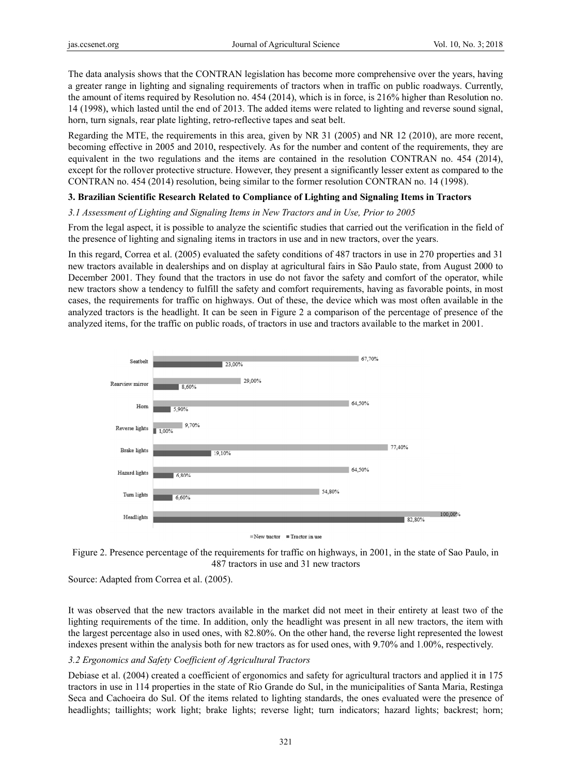The data analysis shows that the CONTRAN legislation has become more comprehensive over the years, having a greater range in lighting and signaling requirements of tractors when in traffic on public roadways. Currently, the amount of items required by Resolution no. 454 (2014), which is in force, is 216% higher than Resolution no. 14 (1998), which lasted until the end of 2013. The added items were related to lighting and reverse sound signal, horn, turn signals, rear plate lighting, retro-reflective tapes and seat belt.

Regarding the MTE, the requirements in this area, given by NR 31 (2005) and NR 12 (2010), are more recent, becoming effective in 2005 and 2010, respectively. As for the number and content of the requirements, they are equivalent in the two regulations and the items are contained in the resolution CONTRAN no. 454 (2014), except for the rollover protective structure. However, they present a significantly lesser extent as compared to the CONTRAN no. 454 (2014) resolution, being similar to the former resolution CONTRAN no. 14 (1998).

## **3. Brazilian Scientific Research Related to Compliance of Lighting and Signaling Items in Tractors**

# 3.1 Assessment of Lighting and Signaling Items in New Tractors and in Use, Prior to 2005

From the legal aspect, it is possible to analyze the scientific studies that carried out the verification in the field of the presence of lighting and signaling items in tractors in use and in new tractors, over the years.

In this regard, Correa et al. (2005) evaluated the safety conditions of 487 tractors in use in 270 properties and 31 new tractors available in dealerships and on display at agricultural fairs in São Paulo state, from August 2000 to December 2001. They found that the tractors in use do not favor the safety and comfort of the operator, while new tractors show a tendency to fulfill the safety and comfort requirements, having as favorable points, in most cases, the requirements for traffic on highways. Out of these, the device which was most often available in the analyzed tractors is the headlight. It can be seen in Figure 2 a comparison of the percentage of presence of the analyzed items, for the traffic on public roads, of tractors in use and tractors available to the market in 2001.



 $\blacksquare$  New tractor  $\blacksquare$  Tractor in use



Source: Adapted from Correa et al. (2005).

It was observed that the new tractors available in the market did not meet in their entirety at least two of the lighting requirements of the time. In addition, only the headlight was present in all new tractors, the item with the largest percentage also in used ones, with 82.80%. On the other hand, the reverse light represented the lowest indexes present within the analysis both for new tractors as for used ones, with 9.70% and 1.00%, respectively.

# 3.2 Ergonomics and Safety Coefficient of Agricultural Tractors

Debiase et al. (2004) created a coefficient of ergonomics and safety for agricultural tractors and applied it in 175 tractors in use in 114 properties in the state of Rio Grande do Sul, in the municipalities of Santa Maria, Restinga Seca and Cachoeira do Sul. Of the items related to lighting standards, the ones evaluated were the presence of headlights; taillights; work light; brake lights; reverse light; turn indicators; hazard lights; backrest; horn;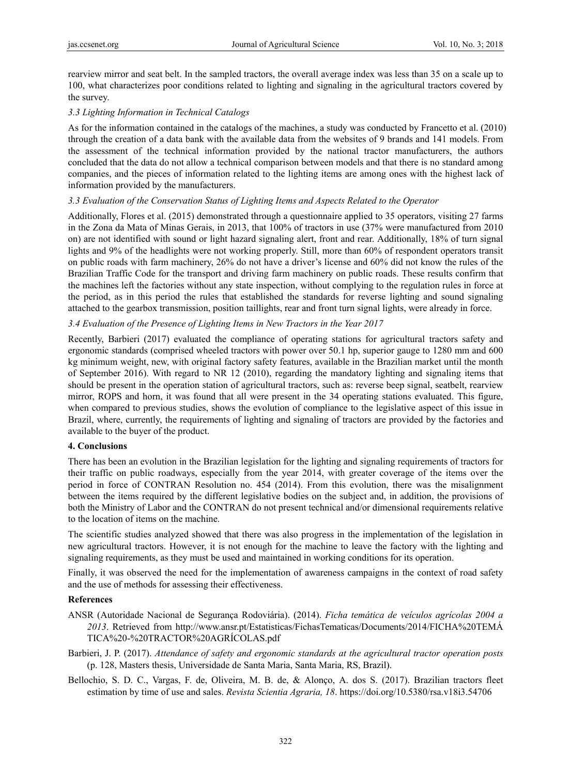rearview mirror and seat belt. In the sampled tractors, the overall average index was less than 35 on a scale up to 100, what characterizes poor conditions related to lighting and signaling in the agricultural tractors covered by the survey.

# *3.3 Lighting Information in Technical Catalogs*

As for the information contained in the catalogs of the machines, a study was conducted by Francetto et al. (2010) through the creation of a data bank with the available data from the websites of 9 brands and 141 models. From the assessment of the technical information provided by the national tractor manufacturers, the authors concluded that the data do not allow a technical comparison between models and that there is no standard among companies, and the pieces of information related to the lighting items are among ones with the highest lack of information provided by the manufacturers.

# *3.3 Evaluation of the Conservation Status of Lighting Items and Aspects Related to the Operator*

Additionally, Flores et al. (2015) demonstrated through a questionnaire applied to 35 operators, visiting 27 farms in the Zona da Mata of Minas Gerais, in 2013, that 100% of tractors in use (37% were manufactured from 2010 on) are not identified with sound or light hazard signaling alert, front and rear. Additionally, 18% of turn signal lights and 9% of the headlights were not working properly. Still, more than 60% of respondent operators transit on public roads with farm machinery, 26% do not have a driver's license and 60% did not know the rules of the Brazilian Traffic Code for the transport and driving farm machinery on public roads. These results confirm that the machines left the factories without any state inspection, without complying to the regulation rules in force at the period, as in this period the rules that established the standards for reverse lighting and sound signaling attached to the gearbox transmission, position taillights, rear and front turn signal lights, were already in force.

# *3.4 Evaluation of the Presence of Lighting Items in New Tractors in the Year 2017*

Recently, Barbieri (2017) evaluated the compliance of operating stations for agricultural tractors safety and ergonomic standards (comprised wheeled tractors with power over 50.1 hp, superior gauge to 1280 mm and 600 kg minimum weight, new, with original factory safety features, available in the Brazilian market until the month of September 2016). With regard to NR 12 (2010), regarding the mandatory lighting and signaling items that should be present in the operation station of agricultural tractors, such as: reverse beep signal, seatbelt, rearview mirror, ROPS and horn, it was found that all were present in the 34 operating stations evaluated. This figure, when compared to previous studies, shows the evolution of compliance to the legislative aspect of this issue in Brazil, where, currently, the requirements of lighting and signaling of tractors are provided by the factories and available to the buyer of the product.

## **4. Conclusions**

There has been an evolution in the Brazilian legislation for the lighting and signaling requirements of tractors for their traffic on public roadways, especially from the year 2014, with greater coverage of the items over the period in force of CONTRAN Resolution no. 454 (2014). From this evolution, there was the misalignment between the items required by the different legislative bodies on the subject and, in addition, the provisions of both the Ministry of Labor and the CONTRAN do not present technical and/or dimensional requirements relative to the location of items on the machine.

The scientific studies analyzed showed that there was also progress in the implementation of the legislation in new agricultural tractors. However, it is not enough for the machine to leave the factory with the lighting and signaling requirements, as they must be used and maintained in working conditions for its operation.

Finally, it was observed the need for the implementation of awareness campaigns in the context of road safety and the use of methods for assessing their effectiveness.

## **References**

- ANSR (Autoridade Nacional de Segurança Rodoviária). (2014). *Ficha temática de veículos agrícolas 2004 a 2013*. Retrieved from http://www.ansr.pt/Estatisticas/FichasTematicas/Documents/2014/FICHA%20TEMÁ TICA%20-%20TRACTOR%20AGRÍCOLAS.pdf
- Barbieri, J. P. (2017). *Attendance of safety and ergonomic standards at the agricultural tractor operation posts* (p. 128, Masters thesis, Universidade de Santa Maria, Santa Maria, RS, Brazil).
- Bellochio, S. D. C., Vargas, F. de, Oliveira, M. B. de, & Alonço, A. dos S. (2017). Brazilian tractors fleet estimation by time of use and sales. *Revista Scientia Agraria, 18*. https://doi.org/10.5380/rsa.v18i3.54706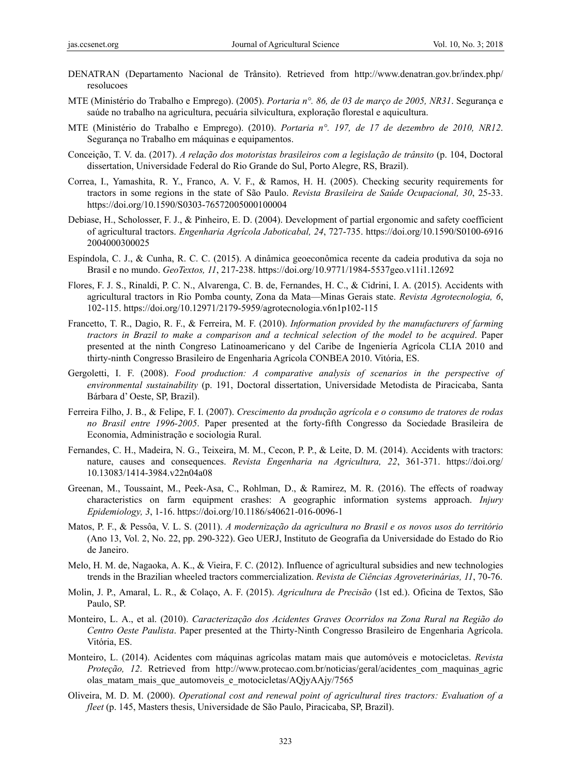- DENATRAN (Departamento Nacional de Trânsito). Retrieved from http://www.denatran.gov.br/index.php/ resolucoes
- MTE (Ministério do Trabalho e Emprego). (2005). *Portaria n°. 86, de 03 de março de 2005, NR31*. Segurança e saúde no trabalho na agricultura, pecuária silvicultura, exploração florestal e aquicultura.
- MTE (Ministério do Trabalho e Emprego). (2010). *Portaria n°. 197, de 17 de dezembro de 2010, NR12*. Segurança no Trabalho em máquinas e equipamentos.
- Conceição, T. V. da. (2017). *A relação dos motoristas brasileiros com a legislação de trânsito* (p. 104, Doctoral dissertation, Universidade Federal do Rio Grande do Sul, Porto Alegre, RS, Brazil).
- Correa, I., Yamashita, R. Y., Franco, A. V. F., & Ramos, H. H. (2005). Checking security requirements for tractors in some regions in the state of São Paulo. *Revista Brasileira de Saúde Ocupacional, 30*, 25-33. https://doi.org/10.1590/S0303-76572005000100004
- Debiase, H., Scholosser, F. J., & Pinheiro, E. D. (2004). Development of partial ergonomic and safety coefficient of agricultural tractors. *Engenharia Agrícola Jaboticabal, 24*, 727-735. https://doi.org/10.1590/S0100-6916 2004000300025
- Espíndola, C. J., & Cunha, R. C. C. (2015). A dinâmica geoeconômica recente da cadeia produtiva da soja no Brasil e no mundo. *GeoTextos, 11*, 217-238. https://doi.org/10.9771/1984-5537geo.v11i1.12692
- Flores, F. J. S., Rinaldi, P. C. N., Alvarenga, C. B. de, Fernandes, H. C., & Cidrini, I. A. (2015). Accidents with agricultural tractors in Rio Pomba county, Zona da Mata—Minas Gerais state. *Revista Agrotecnologia, 6*, 102-115. https://doi.org/10.12971/2179-5959/agrotecnologia.v6n1p102-115
- Francetto, T. R., Dagio, R. F., & Ferreira, M. F. (2010). *Information provided by the manufacturers of farming tractors in Brazil to make a comparison and a technical selection of the model to be acquired*. Paper presented at the ninth Congreso Latinoamericano y del Caribe de Ingeniería Agrícola CLIA 2010 and thirty-ninth Congresso Brasileiro de Engenharia Agrícola CONBEA 2010. Vitória, ES.
- Gergoletti, I. F. (2008). *Food production: A comparative analysis of scenarios in the perspective of environmental sustainability* (p. 191, Doctoral dissertation, Universidade Metodista de Piracicaba, Santa Bárbara d' Oeste, SP, Brazil).
- Ferreira Filho, J. B., & Felipe, F. I. (2007). *Crescimento da produção agrícola e o consumo de tratores de rodas no Brasil entre 1996-2005*. Paper presented at the forty-fifth Congresso da Sociedade Brasileira de Economia, Administração e sociologia Rural.
- Fernandes, C. H., Madeira, N. G., Teixeira, M. M., Cecon, P. P., & Leite, D. M. (2014). Accidents with tractors: nature, causes and consequences. *Revista Engenharia na Agricultura, 22*, 361-371. https://doi.org/ 10.13083/1414-3984.v22n04a08
- Greenan, M., Toussaint, M., Peek-Asa, C., Rohlman, D., & Ramirez, M. R. (2016). The effects of roadway characteristics on farm equipment crashes: A geographic information systems approach. *Injury Epidemiology, 3*, 1-16. https://doi.org/10.1186/s40621-016-0096-1
- Matos, P. F., & Pessôa, V. L. S. (2011). *A modernização da agricultura no Brasil e os novos usos do território*  (Ano 13, Vol. 2, No. 22, pp. 290-322). Geo UERJ, Instituto de Geografia da Universidade do Estado do Rio de Janeiro.
- Melo, H. M. de, Nagaoka, A. K., & Vieira, F. C. (2012). Influence of agricultural subsidies and new technologies trends in the Brazilian wheeled tractors commercialization. *Revista de Ciências Agroveterinárias, 11*, 70-76.
- Molin, J. P., Amaral, L. R., & Colaço, A. F. (2015). *Agricultura de Precisão* (1st ed.). Oficina de Textos, São Paulo, SP.
- Monteiro, L. A., et al. (2010). *Caracterização dos Acidentes Graves Ocorridos na Zona Rural na Região do Centro Oeste Paulista*. Paper presented at the Thirty-Ninth Congresso Brasileiro de Engenharia Agrícola. Vitória, ES.
- Monteiro, L. (2014). Acidentes com máquinas agrícolas matam mais que automóveis e motocicletas. *Revista Proteção, 12*. Retrieved from http://www.protecao.com.br/noticias/geral/acidentes\_com\_maquinas\_agric olas\_matam\_mais\_que\_automoveis\_e\_motocicletas/AQjyAAjy/7565
- Oliveira, M. D. M. (2000). *Operational cost and renewal point of agricultural tires tractors: Evaluation of a fleet* (p. 145, Masters thesis, Universidade de São Paulo, Piracicaba, SP, Brazil).